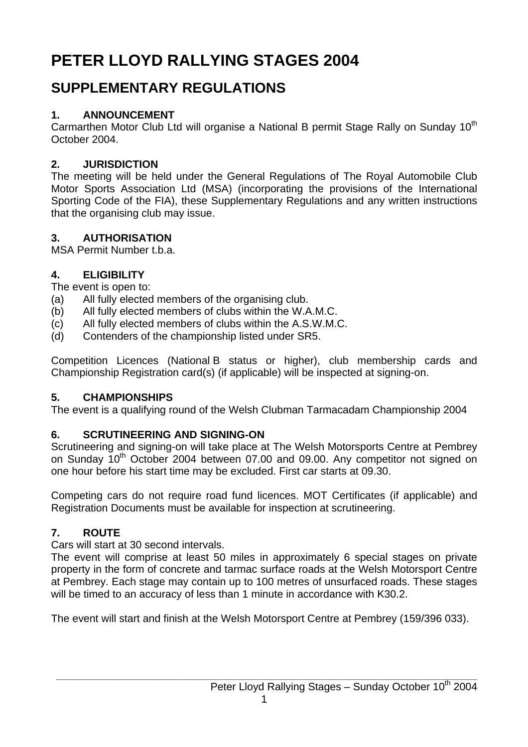# **PETER LLOYD RALLYING STAGES 2004**

## **SUPPLEMENTARY REGULATIONS**

## **1. ANNOUNCEMENT**

Carmarthen Motor Club Ltd will organise a National B permit Stage Rally on Sunday 10<sup>th</sup> October 2004.

## **2. JURISDICTION**

The meeting will be held under the General Regulations of The Royal Automobile Club Motor Sports Association Ltd (MSA) (incorporating the provisions of the International Sporting Code of the FIA), these Supplementary Regulations and any written instructions that the organising club may issue.

## **3. AUTHORISATION**

MSA Permit Number t.b.a.

## **4. ELIGIBILITY**

The event is open to:

- (a) All fully elected members of the organising club.
- (b) All fully elected members of clubs within the W.A.M.C.
- (c) All fully elected members of clubs within the A.S.W.M.C.
- (d) Contenders of the championship listed under SR5.

Competition Licences (National B status or higher), club membership cards and Championship Registration card(s) (if applicable) will be inspected at signing-on.

## **5. CHAMPIONSHIPS**

The event is a qualifying round of the Welsh Clubman Tarmacadam Championship 2004

## **6. SCRUTINEERING AND SIGNING-ON**

Scrutineering and signing-on will take place at The Welsh Motorsports Centre at Pembrey on Sunday 10<sup>th</sup> October 2004 between 07.00 and 09.00. Any competitor not signed on one hour before his start time may be excluded. First car starts at 09.30.

Competing cars do not require road fund licences. MOT Certificates (if applicable) and Registration Documents must be available for inspection at scrutineering.

## **7. ROUTE**

Cars will start at 30 second intervals.

The event will comprise at least 50 miles in approximately 6 special stages on private property in the form of concrete and tarmac surface roads at the Welsh Motorsport Centre at Pembrey. Each stage may contain up to 100 metres of unsurfaced roads. These stages will be timed to an accuracy of less than 1 minute in accordance with K30.2.

The event will start and finish at the Welsh Motorsport Centre at Pembrey (159/396 033).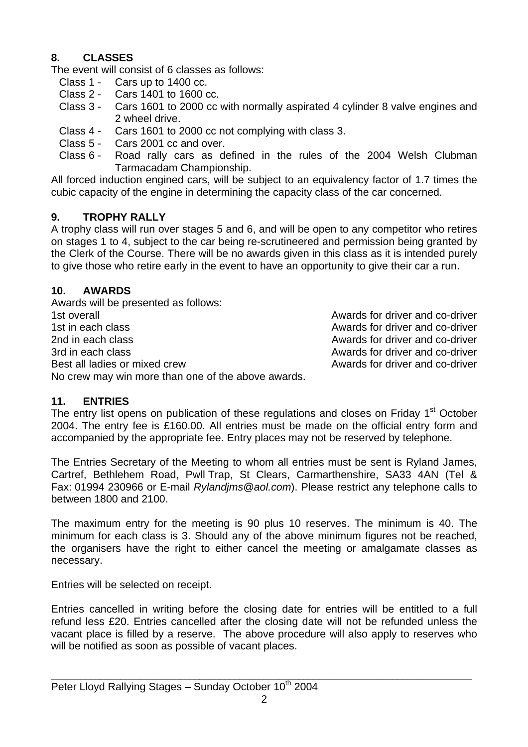#### **8. CLASSES**

The event will consist of 6 classes as follows:

- Class 1 Cars up to 1400 cc.
- Class 2 Cars 1401 to 1600 cc.
- Class 3 Cars 1601 to 2000 cc with normally aspirated 4 cylinder 8 valve engines and 2 wheel drive.
- Class 4 Cars 1601 to 2000 cc not complying with class 3.
- Class 5 Cars 2001 cc and over.
- Class 6 Road rally cars as defined in the rules of the 2004 Welsh Clubman Tarmacadam Championship.

All forced induction engined cars, will be subject to an equivalency factor of 1.7 times the cubic capacity of the engine in determining the capacity class of the car concerned.

#### **9. TROPHY RALLY**

A trophy class will run over stages 5 and 6, and will be open to any competitor who retires on stages 1 to 4, subject to the car being re-scrutineered and permission being granted by the Clerk of the Course. There will be no awards given in this class as it is intended purely to give those who retire early in the event to have an opportunity to give their car a run.

#### **10. AWARDS**

Awards will be presented as follows: 1st overall **1st overall** Awards for driver and co-driver 1st in each class **Awards** for driver and co-driver 2nd in each class **Awards for driver and co-driver** 2nd in each class and co-driver 3rd in each class Awards for driver and co-driver Best all ladies or mixed crew and co-driver and co-driver No crew may win more than one of the above awards.

#### **11. ENTRIES**

The entry list opens on publication of these regulations and closes on Friday 1<sup>st</sup> October 2004. The entry fee is £160.00. All entries must be made on the official entry form and accompanied by the appropriate fee. Entry places may not be reserved by telephone.

The Entries Secretary of the Meeting to whom all entries must be sent is Ryland James, Cartref, Bethlehem Road, Pwll Trap, St Clears, Carmarthenshire, SA33 4AN (Tel & Fax: 01994 230966 or E-mail *Rylandjms@aol.com*). Please restrict any telephone calls to between 1800 and 2100.

The maximum entry for the meeting is 90 plus 10 reserves. The minimum is 40. The minimum for each class is 3. Should any of the above minimum figures not be reached, the organisers have the right to either cancel the meeting or amalgamate classes as necessary.

Entries will be selected on receipt.

Entries cancelled in writing before the closing date for entries will be entitled to a full refund less £20. Entries cancelled after the closing date will not be refunded unless the vacant place is filled by a reserve. The above procedure will also apply to reserves who will be notified as soon as possible of vacant places.

**\_\_\_\_\_\_\_\_\_\_\_\_\_\_\_\_\_\_\_\_\_\_\_\_\_\_\_\_\_\_\_\_\_\_\_\_\_\_\_\_\_\_\_\_\_\_\_\_\_\_\_\_\_\_\_\_\_\_\_\_\_\_\_\_\_\_\_\_\_\_\_\_\_\_\_\_\_\_\_\_\_\_\_\_\_**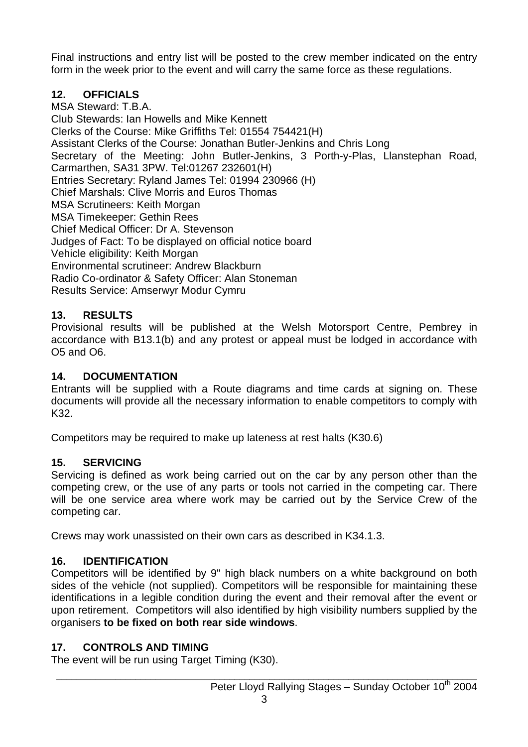Final instructions and entry list will be posted to the crew member indicated on the entry form in the week prior to the event and will carry the same force as these regulations.

#### **12. OFFICIALS**

MSA Steward: T.B.A. Club Stewards: Ian Howells and Mike Kennett Clerks of the Course: Mike Griffiths Tel: 01554 754421(H) Assistant Clerks of the Course: Jonathan Butler-Jenkins and Chris Long Secretary of the Meeting: John Butler-Jenkins, 3 Porth-y-Plas, Llanstephan Road, Carmarthen, SA31 3PW. Tel:01267 232601(H) Entries Secretary: Ryland James Tel: 01994 230966 (H) Chief Marshals: Clive Morris and Euros Thomas MSA Scrutineers: Keith Morgan MSA Timekeeper: Gethin Rees Chief Medical Officer: Dr A. Stevenson Judges of Fact: To be displayed on official notice board Vehicle eligibility: Keith Morgan Environmental scrutineer: Andrew Blackburn Radio Co-ordinator & Safety Officer: Alan Stoneman Results Service: Amserwyr Modur Cymru

#### **13. RESULTS**

Provisional results will be published at the Welsh Motorsport Centre, Pembrey in accordance with B13.1(b) and any protest or appeal must be lodged in accordance with O5 and O6.

#### **14. DOCUMENTATION**

Entrants will be supplied with a Route diagrams and time cards at signing on. These documents will provide all the necessary information to enable competitors to comply with K32.

Competitors may be required to make up lateness at rest halts (K30.6)

#### **15. SERVICING**

Servicing is defined as work being carried out on the car by any person other than the competing crew, or the use of any parts or tools not carried in the competing car. There will be one service area where work may be carried out by the Service Crew of the competing car.

Crews may work unassisted on their own cars as described in K34.1.3.

#### **16. IDENTIFICATION**

Competitors will be identified by 9" high black numbers on a white background on both sides of the vehicle (not supplied). Competitors will be responsible for maintaining these identifications in a legible condition during the event and their removal after the event or upon retirement. Competitors will also identified by high visibility numbers supplied by the organisers **to be fixed on both rear side windows**.

#### **17. CONTROLS AND TIMING**

The event will be run using Target Timing (K30).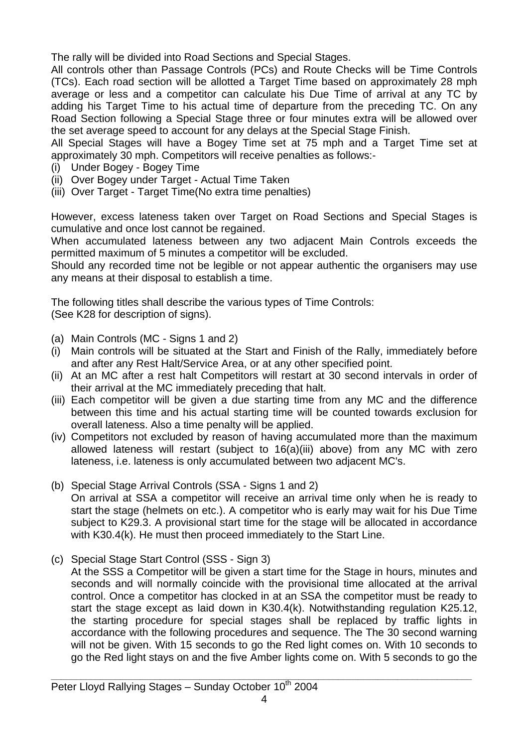The rally will be divided into Road Sections and Special Stages.

All controls other than Passage Controls (PCs) and Route Checks will be Time Controls (TCs). Each road section will be allotted a Target Time based on approximately 28 mph average or less and a competitor can calculate his Due Time of arrival at any TC by adding his Target Time to his actual time of departure from the preceding TC. On any Road Section following a Special Stage three or four minutes extra will be allowed over the set average speed to account for any delays at the Special Stage Finish.

All Special Stages will have a Bogey Time set at 75 mph and a Target Time set at approximately 30 mph. Competitors will receive penalties as follows:-

- (i) Under Bogey Bogey Time
- (ii) Over Bogey under Target Actual Time Taken
- (iii) Over Target Target Time(No extra time penalties)

However, excess lateness taken over Target on Road Sections and Special Stages is cumulative and once lost cannot be regained.

When accumulated lateness between any two adjacent Main Controls exceeds the permitted maximum of 5 minutes a competitor will be excluded.

Should any recorded time not be legible or not appear authentic the organisers may use any means at their disposal to establish a time.

The following titles shall describe the various types of Time Controls: (See K28 for description of signs).

- (a) Main Controls (MC Signs 1 and 2)
- (i) Main controls will be situated at the Start and Finish of the Rally, immediately before and after any Rest Halt/Service Area, or at any other specified point.
- (ii) At an MC after a rest halt Competitors will restart at 30 second intervals in order of their arrival at the MC immediately preceding that halt.
- (iii) Each competitor will be given a due starting time from any MC and the difference between this time and his actual starting time will be counted towards exclusion for overall lateness. Also a time penalty will be applied.
- (iv) Competitors not excluded by reason of having accumulated more than the maximum allowed lateness will restart (subject to 16(a)(iii) above) from any MC with zero lateness, i.e. lateness is only accumulated between two adjacent MC's.
- (b) Special Stage Arrival Controls (SSA Signs 1 and 2) On arrival at SSA a competitor will receive an arrival time only when he is ready to start the stage (helmets on etc.). A competitor who is early may wait for his Due Time subject to K29.3. A provisional start time for the stage will be allocated in accordance with K30.4(k). He must then proceed immediately to the Start Line.
- (c) Special Stage Start Control (SSS Sign 3)

At the SSS a Competitor will be given a start time for the Stage in hours, minutes and seconds and will normally coincide with the provisional time allocated at the arrival control. Once a competitor has clocked in at an SSA the competitor must be ready to start the stage except as laid down in K30.4(k). Notwithstanding regulation K25.12, the starting procedure for special stages shall be replaced by traffic lights in accordance with the following procedures and sequence. The The 30 second warning will not be given. With 15 seconds to go the Red light comes on. With 10 seconds to go the Red light stays on and the five Amber lights come on. With 5 seconds to go the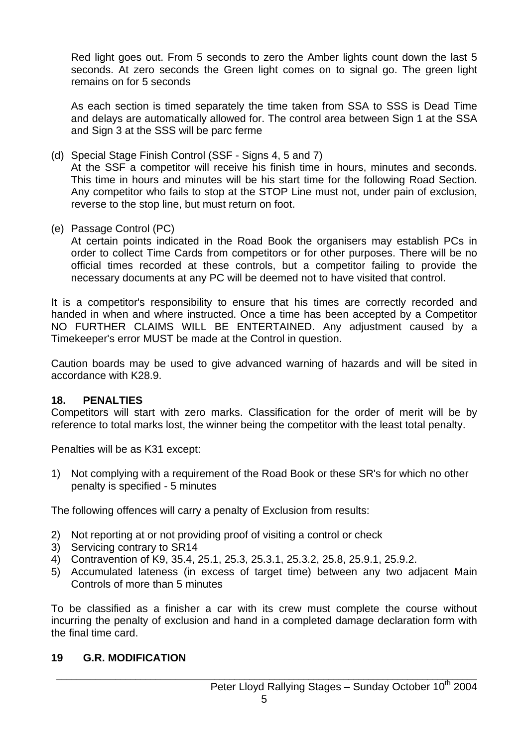Red light goes out. From 5 seconds to zero the Amber lights count down the last 5 seconds. At zero seconds the Green light comes on to signal go. The green light remains on for 5 seconds

 As each section is timed separately the time taken from SSA to SSS is Dead Time and delays are automatically allowed for. The control area between Sign 1 at the SSA and Sign 3 at the SSS will be parc ferme

(d) Special Stage Finish Control (SSF - Signs 4, 5 and 7)

 At the SSF a competitor will receive his finish time in hours, minutes and seconds. This time in hours and minutes will be his start time for the following Road Section. Any competitor who fails to stop at the STOP Line must not, under pain of exclusion, reverse to the stop line, but must return on foot.

(e) Passage Control (PC)

 At certain points indicated in the Road Book the organisers may establish PCs in order to collect Time Cards from competitors or for other purposes. There will be no official times recorded at these controls, but a competitor failing to provide the necessary documents at any PC will be deemed not to have visited that control.

It is a competitor's responsibility to ensure that his times are correctly recorded and handed in when and where instructed. Once a time has been accepted by a Competitor NO FURTHER CLAIMS WILL BE ENTERTAINED. Any adjustment caused by a Timekeeper's error MUST be made at the Control in question.

Caution boards may be used to give advanced warning of hazards and will be sited in accordance with K28.9.

#### **18. PENALTIES**

Competitors will start with zero marks. Classification for the order of merit will be by reference to total marks lost, the winner being the competitor with the least total penalty.

Penalties will be as K31 except:

1) Not complying with a requirement of the Road Book or these SR's for which no other penalty is specified - 5 minutes

The following offences will carry a penalty of Exclusion from results:

- 2) Not reporting at or not providing proof of visiting a control or check
- 3) Servicing contrary to SR14
- 4) Contravention of K9, 35.4, 25.1, 25.3, 25.3.1, 25.3.2, 25.8, 25.9.1, 25.9.2.
- 5) Accumulated lateness (in excess of target time) between any two adjacent Main Controls of more than 5 minutes

To be classified as a finisher a car with its crew must complete the course without incurring the penalty of exclusion and hand in a completed damage declaration form with the final time card.

#### **19 G.R. MODIFICATION**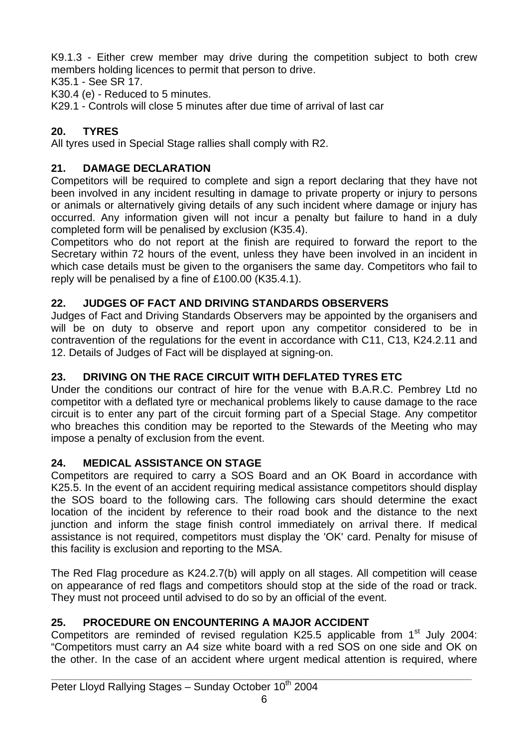K9.1.3 - Either crew member may drive during the competition subject to both crew members holding licences to permit that person to drive.

K35.1 - See SR 17.

K30.4 (e) - Reduced to 5 minutes.

K29.1 - Controls will close 5 minutes after due time of arrival of last car

## **20. TYRES**

All tyres used in Special Stage rallies shall comply with R2.

#### **21. DAMAGE DECLARATION**

Competitors will be required to complete and sign a report declaring that they have not been involved in any incident resulting in damage to private property or injury to persons or animals or alternatively giving details of any such incident where damage or injury has occurred. Any information given will not incur a penalty but failure to hand in a duly completed form will be penalised by exclusion (K35.4).

Competitors who do not report at the finish are required to forward the report to the Secretary within 72 hours of the event, unless they have been involved in an incident in which case details must be given to the organisers the same day. Competitors who fail to reply will be penalised by a fine of £100.00 (K35.4.1).

#### **22. JUDGES OF FACT AND DRIVING STANDARDS OBSERVERS**

Judges of Fact and Driving Standards Observers may be appointed by the organisers and will be on duty to observe and report upon any competitor considered to be in contravention of the regulations for the event in accordance with C11, C13, K24.2.11 and 12. Details of Judges of Fact will be displayed at signing-on.

#### **23. DRIVING ON THE RACE CIRCUIT WITH DEFLATED TYRES ETC**

Under the conditions our contract of hire for the venue with B.A.R.C. Pembrey Ltd no competitor with a deflated tyre or mechanical problems likely to cause damage to the race circuit is to enter any part of the circuit forming part of a Special Stage. Any competitor who breaches this condition may be reported to the Stewards of the Meeting who may impose a penalty of exclusion from the event.

#### **24. MEDICAL ASSISTANCE ON STAGE**

Competitors are required to carry a SOS Board and an OK Board in accordance with K25.5. In the event of an accident requiring medical assistance competitors should display the SOS board to the following cars. The following cars should determine the exact location of the incident by reference to their road book and the distance to the next junction and inform the stage finish control immediately on arrival there. If medical assistance is not required, competitors must display the 'OK' card. Penalty for misuse of this facility is exclusion and reporting to the MSA.

The Red Flag procedure as K24.2.7(b) will apply on all stages. All competition will cease on appearance of red flags and competitors should stop at the side of the road or track. They must not proceed until advised to do so by an official of the event.

#### **25. PROCEDURE ON ENCOUNTERING A MAJOR ACCIDENT**

Competitors are reminded of revised regulation K25.5 applicable from  $1<sup>st</sup>$  July 2004: "Competitors must carry an A4 size white board with a red SOS on one side and OK on the other. In the case of an accident where urgent medical attention is required, where

**\_\_\_\_\_\_\_\_\_\_\_\_\_\_\_\_\_\_\_\_\_\_\_\_\_\_\_\_\_\_\_\_\_\_\_\_\_\_\_\_\_\_\_\_\_\_\_\_\_\_\_\_\_\_\_\_\_\_\_\_\_\_\_\_\_\_\_\_\_\_\_\_\_\_\_\_\_\_\_\_\_\_\_\_\_**